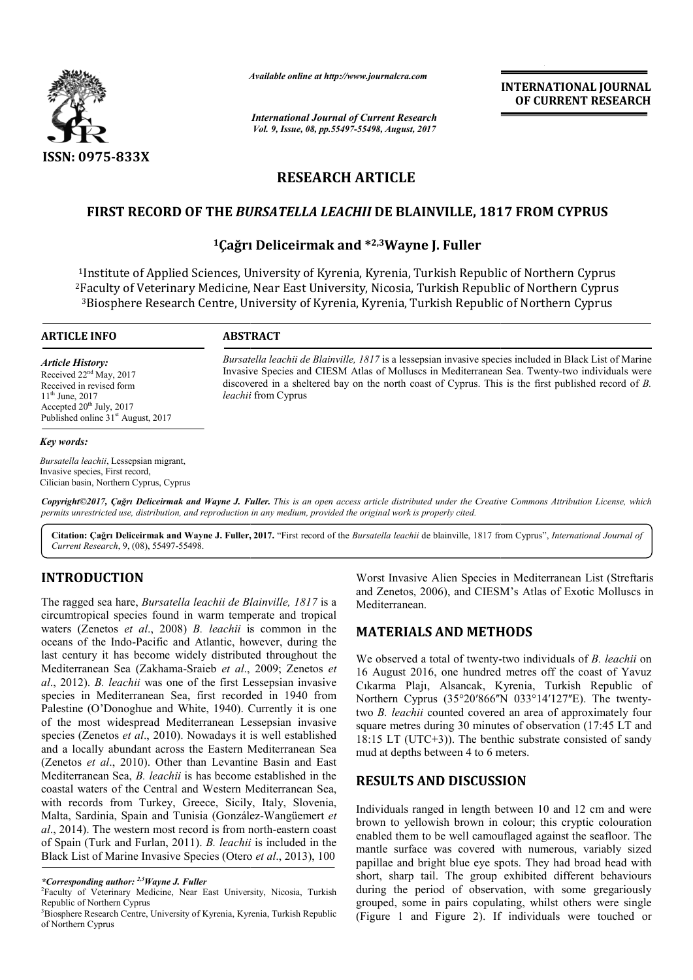

*Available online at http://www.journal http://www.journalcra.com*

*International Journal of Current Research Vol. 9, Issue, 08, pp.55497-55498, August, 2017* **INTERNATIONAL JOURNAL OF CURRENT RESEARCH** 

# **RESEARCH ARTICLE**

# **FIRST RECORD OF THE** *BURSATELLA LEACHII* **DE BLAINVILLE, 1817 FROM CYPRUS**

## **1Çağrı Deliceirmak Çağrı and \*2,3Wayne J. Fuller**

1Institute of Applied Sciences, University of Kyrenia, Kyrenia, Turkish Republic of Northern Cyprus 2Faculty of Veterinary Medicine, Near East University, Nicosia, Turkish Republic of Northern Cyprus  $^3$ Biosphere Research Centre, University of Kyrenia, Kyrenia, Turkish Republic of Northern Cyprus  $\frac{1}{1}$ Institute of<br>Faculty of V<br> $\frac{3}{1}$ Biosphere

#### **ARTICLE INFO ABSTRACT**

*Article History:* Received  $22<sup>nd</sup>$  May, 2017 Received in revised form  $11^{th}$  June, 2017 Accepted  $20<sup>th</sup>$  July,  $2017$ Published online 31<sup>st</sup> August, 2017

*Key words:*

Bursatella leachii de Blainville, 1817 is a lessepsian invasive species included in Black List of Marine Bursatella leachii de Blainville, 1817 is a lessepsian invasive species included in Black List of Marine<br>Invasive Species and CIESM Atlas of Molluscs in Mediterranean Sea. Twenty-two individuals were discovered in a sheltered bay on the north coast of Cyprus. This is the first published record of *B*. *leachii* from Cyprus

*Bursatella leachii*, Lessepsian migrant, Invasive species, First record, Cilician basin, Northern Cyprus, Cyprus

*Copyright©2017, Çağrı Deliceirmak and Wayne J. Fuller Fuller. This is an open access article distributed under the Creative Commons Att the Attribution License, which permits unrestricted use, distribution, and reproduction in any medium, provided the original work is properly cited.*

Citation: Çağrı Deliceirmak and Wayne J. Fuller, 2017. "First record of the *Bursatella leachii* de blainville, 1817 from Cyprus", *International Journal of Current Research*, 9, (08), 55497-55498.

## **INTRODUCTION**

The ragged sea hare, *Bursatella leachii de Blainville, 1817* is a circumtropical species found in warm temperate and tropical waters (Zenetos *et al*., 2008) *B. leachii* is common in the oceans of the Indo-Pacific and Atlantic, however, during the last century it has become widely distributed throughout the Mediterranean Sea (Zakhama-Sraieb *et al*., 2009 *al*., 2012). *B. leachii* was one of the first Lessepsian invasive species in Mediterranean Sea, first recorded in 1940 from Palestine (O'Donoghue and White, 1940). Currently it is one of the most widespread Mediterranean Lessepsian invasive species (Zenetos *et al*., 2010). Nowadays it is well established and a locally abundant across the Eastern Mediterranean Sea (Zenetos *et al*., 2010). Other than Levantine Basin and East Mediterranean Sea, *B. leachii* is has become established in the coastal waters of the Central and Western Mediterranean Sea, with records from Turkey, Greece, Sicily, Italy, Slovenia, Malta, Sardinia, Spain and Tunisia (González-Wangüemert et al., 2014). The western most record is from north-eastern coast of Spain (Turk and Furlan, 2011). *B. leachii* is included in the Black List of Marine Invasive Species (Otero *et al*., 2013), 100 Pacific and Atlantic, however, during the<br>become widely distributed throughout the<br>(Zakhama-Sraieb *et al.*, 2009; Zenetos *et* e and White, 1940). Currently it is one<br>ad Mediterranean Lessepsian invasive, 2010). Nowadays it is well established<br>t across the Eastern Mediterranean Sea<br>. Other than Levantine Basin and East<br>*leachii* is has become esta

Worst Invasive Alien Species in Mediterranean List (Streftaris and Zenetos, 2006), and CIESM's Atlas of Exotic Molluscs in Mediterranean.

## **MATERIALS AND METHODS METHODS**

We observed a total of twenty-two individuals of *B. leachii* on 16 August 2016, one hundred metres off the coast of Yavuz 16 August 2016, one hundred metres off the coast of Yavuz<br>Cıkarma Plajı, Alsancak, Kyrenia, Turkish Republic of Northern Cyprus (35°20′866″N 033°14′127″E). The twentytwo *B. leachii* counted covered an area of approximately four square metres during 30 minutes of observation (17:45 LT and two *B. leachii* counted covered an area of approximately four<br>square metres during 30 minutes of observation (17:45 LT and<br>18:15 LT (UTC+3)). The benthic substrate consisted of sandy mud at depths between 4 to 6 meters.

## **RESULTS AND DISCUSSION**

Individuals ranged in length between 10 and 12 cm and were brown to yellowish brown in colour; this cryptic colouration enabled them to be well camouflaged against the seafloor. The mantle surface was covered with numerous, variably sized papillae and bright blue eye spots. They had broad head with short, sharp tail. The group exhibited different behaviours during the period of observation, with some gregariously grouped, some in pairs copulating, whilst others were single (Figure 1 and Figure 2). If individuals were touched or Individuals ranged in length between 10 and 12 cm and were<br>brown to yellowish brown in colour; this cryptic colouration<br>enabled them to be well camouflaged against the seafloor. The<br>mantle surface was covered with numerous

*<sup>\*</sup>Corresponding author: 2,3Wayne J. Fuller* <sup>2</sup>

Faculty of Veterinary Medicine, Near East University, Nicosia, Turkish Republic of Northern Cyprus

<sup>3</sup> Biosphere Research Centre, University of Kyrenia, Kyrenia, Turkish Republic of Northern Cyprus